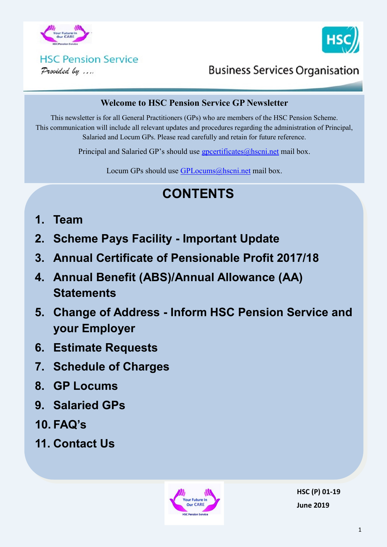



# **HSC Pension Service**

Provided by ....

## **Business Services Organisation**

### **Welcome to HSC Pension Service GP Newsletter**

This newsletter is for all General Practitioners (GPs) who are members of the HSC Pension Scheme. This communication will include all relevant updates and procedures regarding the administration of Principal, Salaried and Locum GPs. Please read carefully and retain for future reference.

Principal and Salaried GP's should use  $g$  poertificates $@$  hscning mail box.

Locum GPs should use [GPLocums@hscni.net](mailto:GPLocums@hscni.net) mail box.

# **CONTENTS**

- **1. Team**
- **2. Scheme Pays Facility - Important Update**
- **3. Annual Certificate of Pensionable Profit 2017/18**
- **4. Annual Benefit (ABS)/Annual Allowance (AA) Statements**
- **5. Change of Address - Inform HSC Pension Service and your Employer**
- **6. Estimate Requests**
- **7. Schedule of Charges**
- **8. GP Locums**
- **9. Salaried GPs**
- **10. FAQ's**
- **11. Contact Us**



**HSC (P) 01-19 June 2019**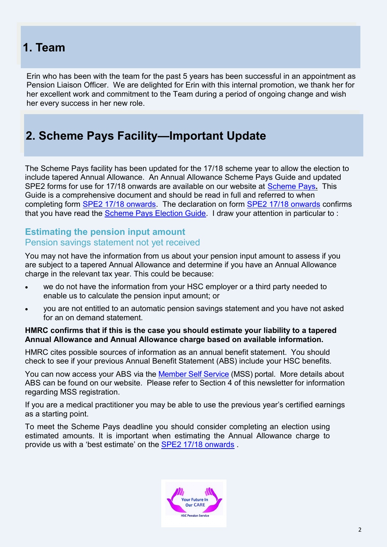## **1. Team**

Erin who has been with the team for the past 5 years has been successful in an appointment as Pension Liaison Officer. We are delighted for Erin with this internal promotion, we thank her for her excellent work and commitment to the Team during a period of ongoing change and wish her every success in her new role.

## **2. Scheme Pays Facility—Important Update**

The Scheme Pays facility has been updated for the 17/18 scheme year to allow the election to include tapered Annual Allowance. An Annual Allowance Scheme Pays Guide and updated SPE2 forms for use for 17/18 onwards are available on our website at [Scheme Pays](http://www.hscpensions.hscni.net/scheme-pays/)**.** This Guide is a comprehensive document and should be read in full and referred to when completing form [SPE2 17/18 onwards.](http://www.hscpensions.hscni.net/download/tax_information/Annual-Allowance-Scheme-Pays-SPE-2-2017-18-onwards-V11.pdf) The declaration on form [SPE2 17/18 onwards](http://www.hscpensions.hscni.net/download/tax_information/Annual-Allowance-Scheme-Pays-SPE-2-2017-18-onwards-V11.pdf) confirms that you have read the [Scheme Pays Election Guide.](http://www.hscpensions.hscni.net/download/tax_information/Scheme-Pays-Election-Guide-2017-18-onwards-V1.pdf) I draw your attention in particular to :

### **Estimating the pension input amount** Pension savings statement not yet received

You may not have the information from us about your pension input amount to assess if you are subject to a tapered Annual Allowance and determine if you have an Annual Allowance charge in the relevant tax year. This could be because:

- we do not have the information from your HSC employer or a third party needed to enable us to calculate the pension input amount; or
- you are not entitled to an automatic pension savings statement and you have not asked for an on demand statement.

### **HMRC confirms that if this is the case you should estimate your liability to a tapered Annual Allowance and Annual Allowance charge based on available information.**

HMRC cites possible sources of information as an annual benefit statement. You should check to see if your previous Annual Benefit Statement (ABS) include your HSC benefits.

You can now access your ABS via the [Member Self Service](https://mypension.hscni.net/) (MSS) portal. More details about ABS can be found on our website. Please refer to Section 4 of this newsletter for information regarding MSS registration.

If you are a medical practitioner you may be able to use the previous year's certified earnings as a starting point.

To meet the Scheme Pays deadline you should consider completing an election using estimated amounts. It is important when estimating the Annual Allowance charge to provide us with a 'best estimate' on the [SPE2 17/18 onwards](http://www.hscpensions.hscni.net/download/tax_information/Annual-Allowance-Scheme-Pays-SPE-2-2017-18-onwards-V11.pdf) .

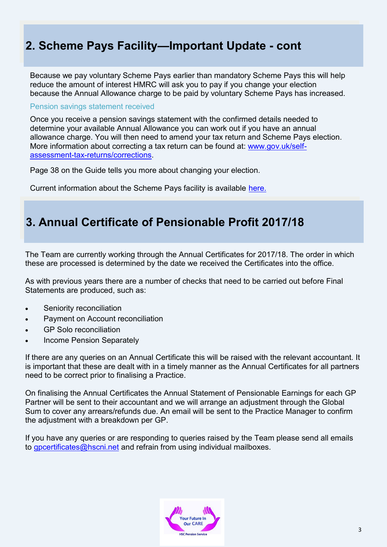## **2. Scheme Pays Facility—Important Update - cont**

Because we pay voluntary Scheme Pays earlier than mandatory Scheme Pays this will help reduce the amount of interest HMRC will ask you to pay if you change your election because the Annual Allowance charge to be paid by voluntary Scheme Pays has increased.

#### Pension savings statement received

Once you receive a pension savings statement with the confirmed details needed to determine your available Annual Allowance you can work out if you have an annual allowance charge. You will then need to amend your tax return and Scheme Pays election. More information about correcting a tax return can be found at: [www.gov.uk/self](http://www.gov.uk/self-assessment-tax-returns/corrections)assessment-tax-[returns/corrections.](http://www.gov.uk/self-assessment-tax-returns/corrections)

Page 38 on the Guide tells you more about changing your election.

Current information about the Scheme Pays facility is available [here.](http://www.hscpensions.hscni.net/scheme-pays/)

## **3. Annual Certificate of Pensionable Profit 2017/18**

The Team are currently working through the Annual Certificates for 2017/18. The order in which these are processed is determined by the date we received the Certificates into the office.

As with previous years there are a number of checks that need to be carried out before Final Statements are produced, such as:

- Seniority reconciliation
- Payment on Account reconciliation
- GP Solo reconciliation
- Income Pension Separately

If there are any queries on an Annual Certificate this will be raised with the relevant accountant. It is important that these are dealt with in a timely manner as the Annual Certificates for all partners need to be correct prior to finalising a Practice.

On finalising the Annual Certificates the Annual Statement of Pensionable Earnings for each GP Partner will be sent to their accountant and we will arrange an adjustment through the Global Sum to cover any arrears/refunds due. An email will be sent to the Practice Manager to confirm the adjustment with a breakdown per GP.

If you have any queries or are responding to queries raised by the Team please send all emails to [gpcertificates@hscni.net](mailto:gpcertificates@hscni.net) and refrain from using individual mailboxes.

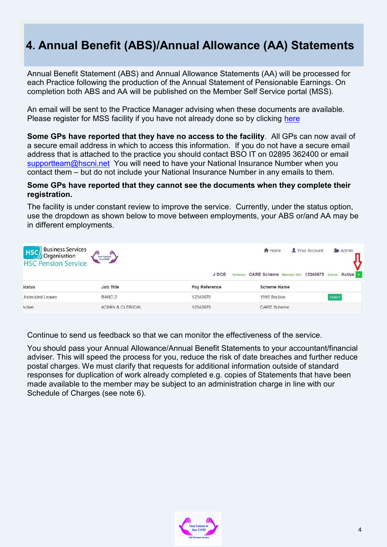## **4. Annual Benefit (ABS)/Annual Allowance (AA) Statements**

Annual Benefit Statement (ABS) and Annual Allowance Statements (AA) will be processed for each Practice following the production of the Annual Statement of Pensionable Earnings. On completion both ABS and AA will be published on the Member Self Service portal (MSS).

An email will be sent to the Practice Manager advising when these documents are available. Please register for MSS facility if you have not already done so by clicking [here](http://www.hscpensions.hscni.net/quick-links/member-self-service/)

**Some GPs have reported that they have no access to the facility**. All GPs can now avail of a secure email address in which to access this information. If you do not have a secure email address that is attached to the practice you should contact BSO IT on 02895 362400 or email [supportteam@hscni.net](mailto:supportteam@hscni.net) You will need to have your National Insurance Number when you contact them – but do not include your National Insurance Number in any emails to them.

### **Some GPs have reported that they cannot see the documents when they complete their registration.**

The facility is under constant review to improve the service. Currently, under the status option, use the dropdown as shown below to move between employments, your ABS or/and AA may be in different employments.

| <b>HSC</b><br>Business Services<br>HSC Pension Service | $^{\prime\prime\prime}$<br>Your Future In |               | Your Account<br>A Home                          | Admin  |
|--------------------------------------------------------|-------------------------------------------|---------------|-------------------------------------------------|--------|
|                                                        |                                           | J DOE         | CARE Scheme Member Ref: 12345679 Status: Active |        |
| <b>status</b>                                          | Job Title                                 | Pay Reference | <b>Scheme Name</b>                              |        |
| <b>Jndecided Leaver</b>                                | BAND <sub>2</sub>                         | 12345678      | 1995 Section                                    | Select |
| Active                                                 | <b>ADMIN &amp; CLERICAL</b>               | 12345679      | <b>CARE Scheme</b>                              |        |

Continue to send us feedback so that we can monitor the effectiveness of the service.

You should pass your Annual Allowance/Annual Benefit Statements to your accountant/financial adviser. This will speed the process for you, reduce the risk of date breaches and further reduce postal charges. We must clarify that requests for additional information outside of standard responses for duplication of work already completed e.g. copies of Statements that have been made available to the member may be subject to an administration charge in line with our Schedule of Charges (see note 6).

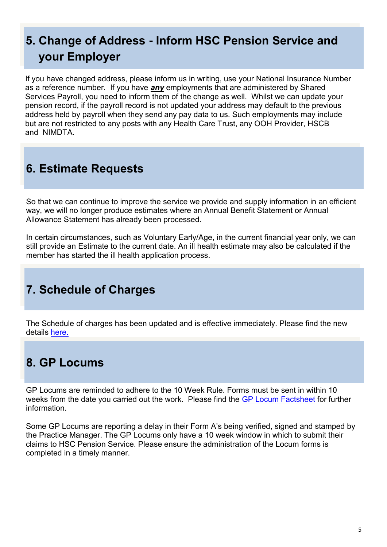# **5. Change of Address - Inform HSC Pension Service and your Employer**

If you have changed address, please inform us in writing, use your National Insurance Number as a reference number. If you have *any* employments that are administered by Shared Services Payroll, you need to inform them of the change as well. Whilst we can update your pension record, if the payroll record is not updated your address may default to the previous address held by payroll when they send any pay data to us. Such employments may include but are not restricted to any posts with any Health Care Trust, any OOH Provider, HSCB and NIMDTA.

## **6. Estimate Requests**

So that we can continue to improve the service we provide and supply information in an efficient way, we will no longer produce estimates where an Annual Benefit Statement or Annual Allowance Statement has already been processed.

In certain circumstances, such as Voluntary Early/Age, in the current financial year only, we can still provide an Estimate to the current date. An ill health estimate may also be calculated if the member has started the ill health application process.

## **7. Schedule of Charges**

The Schedule of charges has been updated and is effective immediately. Please find the new details [here.](http://www.hscpensions.hscni.net/download/Members/member_factsheets/Member-Schedule-of-Charges.pdf)

## **8. GP Locums**

GP Locums are reminded to adhere to the 10 Week Rule. Forms must be sent in within 10 weeks from the date you carried out the work. Please find the [GP Locum Factsheet](http://www.hscpensions.hscni.net/download/Practitioners/GP-Locum-Factsheet.pdf) for further information.

Some GP Locums are reporting a delay in their Form A's being verified, signed and stamped by the Practice Manager. The GP Locums only have a 10 week window in which to submit their claims to HSC Pension Service. Please ensure the administration of the Locum forms is completed in a timely manner.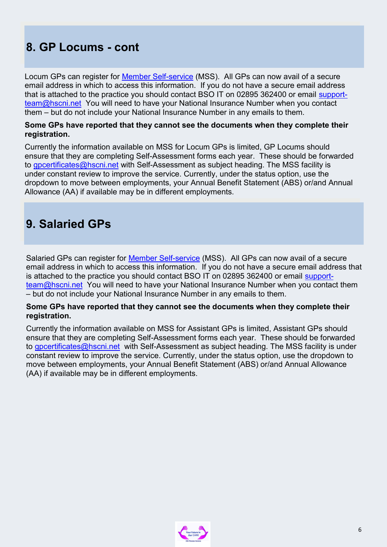## **8. GP Locums - cont**

Locum GPs can register for [Member Self](http://www.hscpensions.hscni.net/quick-links/member-self-service/)-service (MSS). All GPs can now avail of a secure email address in which to access this information. If you do not have a secure email address that is attached to the practice you should contact BSO IT on 02895 362400 or email [support](mailto:supportteam@hscni.net)[team@hscni.net](mailto:supportteam@hscni.net) You will need to have your National Insurance Number when you contact them – but do not include your National Insurance Number in any emails to them.

### **Some GPs have reported that they cannot see the documents when they complete their registration.**

Currently the information available on MSS for Locum GPs is limited, GP Locums should ensure that they are completing Self-Assessment forms each year. These should be forwarded to [gpcertificates@hscni.net](mailto:gpcertificates@hscni.net) with Self-Assessment as subject heading. The MSS facility is under constant review to improve the service. Currently, under the status option, use the dropdown to move between employments, your Annual Benefit Statement (ABS) or/and Annual Allowance (AA) if available may be in different employments.

## **9. Salaried GPs**

Salaried GPs can register for [Member Self](http://www.hscpensions.hscni.net/quick-links/member-self-service/)-service (MSS). All GPs can now avail of a secure email address in which to access this information. If you do not have a secure email address that is attached to the practice you should contact BSO IT on 02895 362400 or email [support](mailto:supportteam@hscni.net)[team@hscni.net](mailto:supportteam@hscni.net) You will need to have your National Insurance Number when you contact them – but do not include your National Insurance Number in any emails to them.

### **Some GPs have reported that they cannot see the documents when they complete their registration.**

Currently the information available on MSS for Assistant GPs is limited, Assistant GPs should ensure that they are completing Self-Assessment forms each year. These should be forwarded to [gpcertificates@hscni.net](mailto:gpcertificates@hscni.net) with Self-Assessment as subject heading. The MSS facility is under constant review to improve the service. Currently, under the status option, use the dropdown to move between employments, your Annual Benefit Statement (ABS) or/and Annual Allowance (AA) if available may be in different employments.

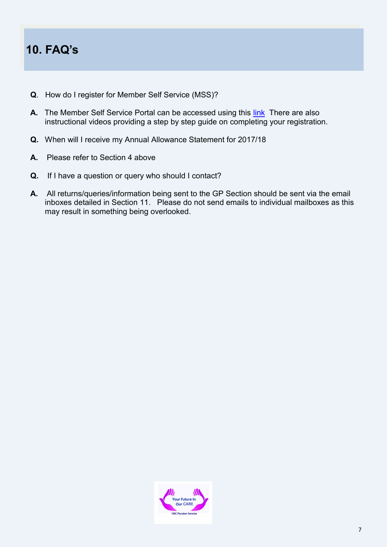## **10. FAQ's**

- **Q**. How do I register for Member Self Service (MSS)?
- **A.** The Member Self Service Portal can be accessed using this [link](http://www.hscpensions.hscni.net/quick-links/member-self-service/) There are also instructional videos providing a step by step guide on completing your registration.
- **Q.** When will I receive my Annual Allowance Statement for 2017/18
- **A.** Please refer to Section 4 above
- **Q.** If I have a question or query who should I contact?
- **A.** All returns/queries/information being sent to the GP Section should be sent via the email inboxes detailed in Section 11. Please do not send emails to individual mailboxes as this may result in something being overlooked.